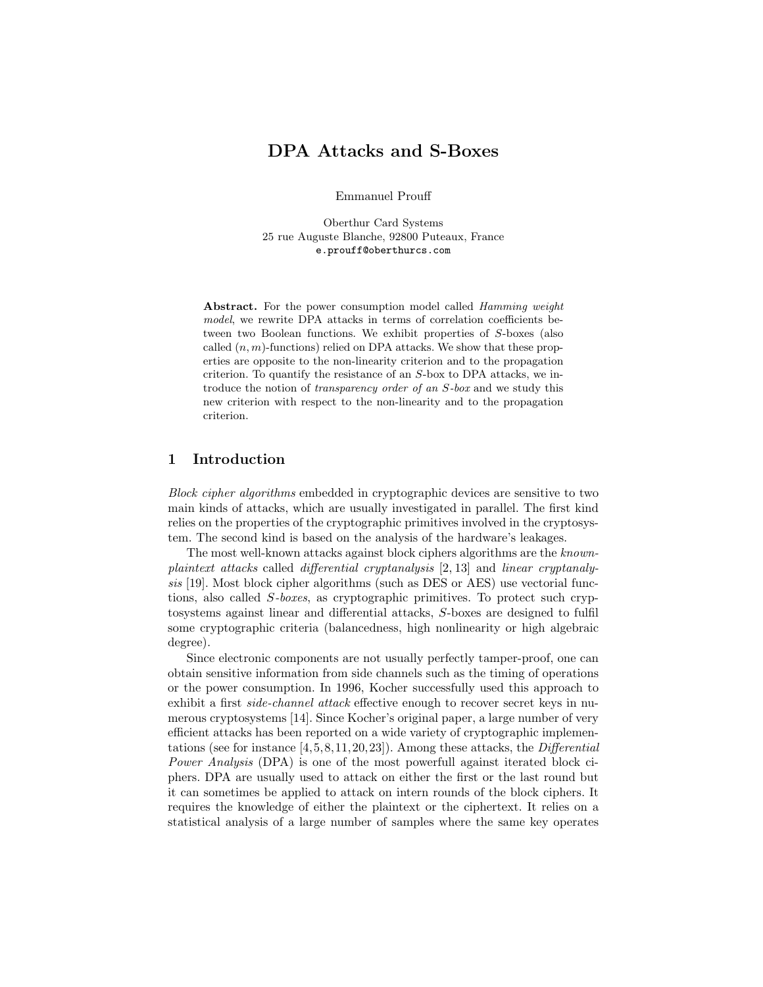# DPA Attacks and S-Boxes

Emmanuel Prouff

Oberthur Card Systems 25 rue Auguste Blanche, 92800 Puteaux, France e.prouff@oberthurcs.com

Abstract. For the power consumption model called *Hamming weight* model, we rewrite DPA attacks in terms of correlation coefficients between two Boolean functions. We exhibit properties of S-boxes (also called  $(n, m)$ -functions) relied on DPA attacks. We show that these properties are opposite to the non-linearity criterion and to the propagation criterion. To quantify the resistance of an S-box to DPA attacks, we introduce the notion of transparency order of an S-box and we study this new criterion with respect to the non-linearity and to the propagation criterion.

# 1 Introduction

Block cipher algorithms embedded in cryptographic devices are sensitive to two main kinds of attacks, which are usually investigated in parallel. The first kind relies on the properties of the cryptographic primitives involved in the cryptosystem. The second kind is based on the analysis of the hardware's leakages.

The most well-known attacks against block ciphers algorithms are the *known*plaintext attacks called differential cryptanalysis [2, 13] and linear cryptanalysis [19]. Most block cipher algorithms (such as DES or AES) use vectorial functions, also called S-boxes, as cryptographic primitives. To protect such cryptosystems against linear and differential attacks, S-boxes are designed to fulfil some cryptographic criteria (balancedness, high nonlinearity or high algebraic degree).

Since electronic components are not usually perfectly tamper-proof, one can obtain sensitive information from side channels such as the timing of operations or the power consumption. In 1996, Kocher successfully used this approach to exhibit a first *side-channel attack* effective enough to recover secret keys in numerous cryptosystems [14]. Since Kocher's original paper, a large number of very efficient attacks has been reported on a wide variety of cryptographic implementations (see for instance  $[4,5,8,11,20,23]$ ). Among these attacks, the *Differential* Power Analysis (DPA) is one of the most powerfull against iterated block ciphers. DPA are usually used to attack on either the first or the last round but it can sometimes be applied to attack on intern rounds of the block ciphers. It requires the knowledge of either the plaintext or the ciphertext. It relies on a statistical analysis of a large number of samples where the same key operates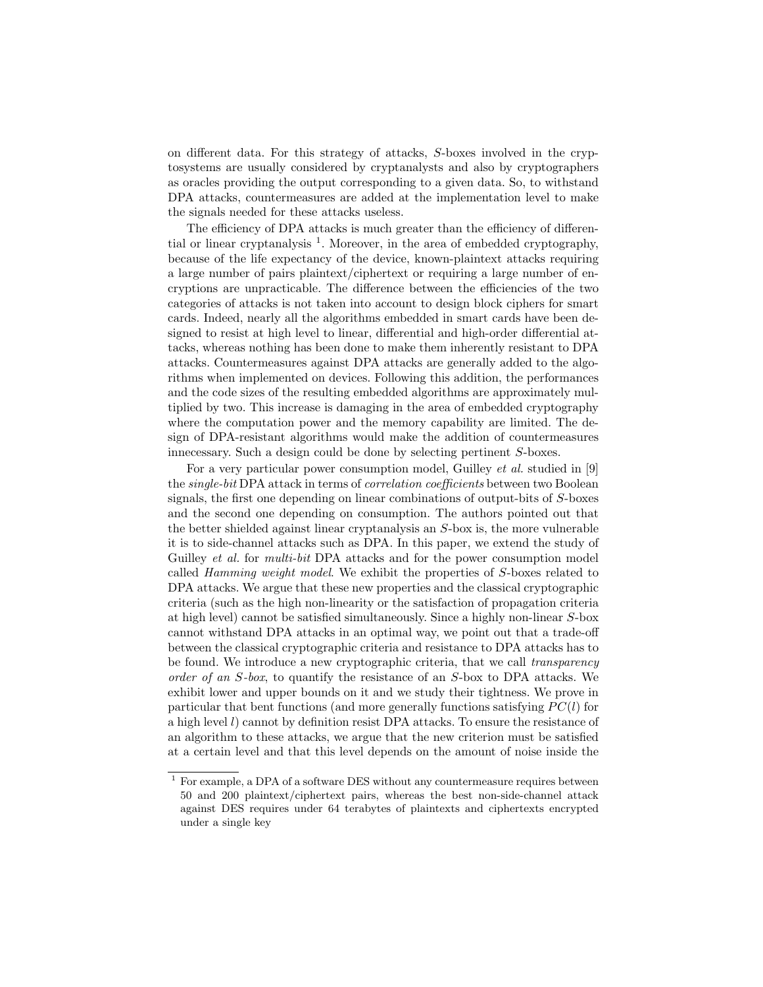on different data. For this strategy of attacks, S-boxes involved in the cryptosystems are usually considered by cryptanalysts and also by cryptographers as oracles providing the output corresponding to a given data. So, to withstand DPA attacks, countermeasures are added at the implementation level to make the signals needed for these attacks useless.

The efficiency of DPA attacks is much greater than the efficiency of differential or linear cryptanalysis <sup>1</sup>. Moreover, in the area of embedded cryptography, because of the life expectancy of the device, known-plaintext attacks requiring a large number of pairs plaintext/ciphertext or requiring a large number of encryptions are unpracticable. The difference between the efficiencies of the two categories of attacks is not taken into account to design block ciphers for smart cards. Indeed, nearly all the algorithms embedded in smart cards have been designed to resist at high level to linear, differential and high-order differential attacks, whereas nothing has been done to make them inherently resistant to DPA attacks. Countermeasures against DPA attacks are generally added to the algorithms when implemented on devices. Following this addition, the performances and the code sizes of the resulting embedded algorithms are approximately multiplied by two. This increase is damaging in the area of embedded cryptography where the computation power and the memory capability are limited. The design of DPA-resistant algorithms would make the addition of countermeasures innecessary. Such a design could be done by selecting pertinent S-boxes.

For a very particular power consumption model, Guilley et al. studied in [9] the *single-bit* DPA attack in terms of *correlation coefficients* between two Boolean signals, the first one depending on linear combinations of output-bits of S-boxes and the second one depending on consumption. The authors pointed out that the better shielded against linear cryptanalysis an S-box is, the more vulnerable it is to side-channel attacks such as DPA. In this paper, we extend the study of Guilley *et al.* for *multi-bit* DPA attacks and for the power consumption model called Hamming weight model. We exhibit the properties of S-boxes related to DPA attacks. We argue that these new properties and the classical cryptographic criteria (such as the high non-linearity or the satisfaction of propagation criteria at high level) cannot be satisfied simultaneously. Since a highly non-linear S-box cannot withstand DPA attacks in an optimal way, we point out that a trade-off between the classical cryptographic criteria and resistance to DPA attacks has to be found. We introduce a new cryptographic criteria, that we call *transparency* order of an S-box, to quantify the resistance of an S-box to DPA attacks. We exhibit lower and upper bounds on it and we study their tightness. We prove in particular that bent functions (and more generally functions satisfying  $PC(l)$  for a high level l) cannot by definition resist DPA attacks. To ensure the resistance of an algorithm to these attacks, we argue that the new criterion must be satisfied at a certain level and that this level depends on the amount of noise inside the

 $1$  For example, a DPA of a software DES without any countermeasure requires between 50 and 200 plaintext/ciphertext pairs, whereas the best non-side-channel attack against DES requires under 64 terabytes of plaintexts and ciphertexts encrypted under a single key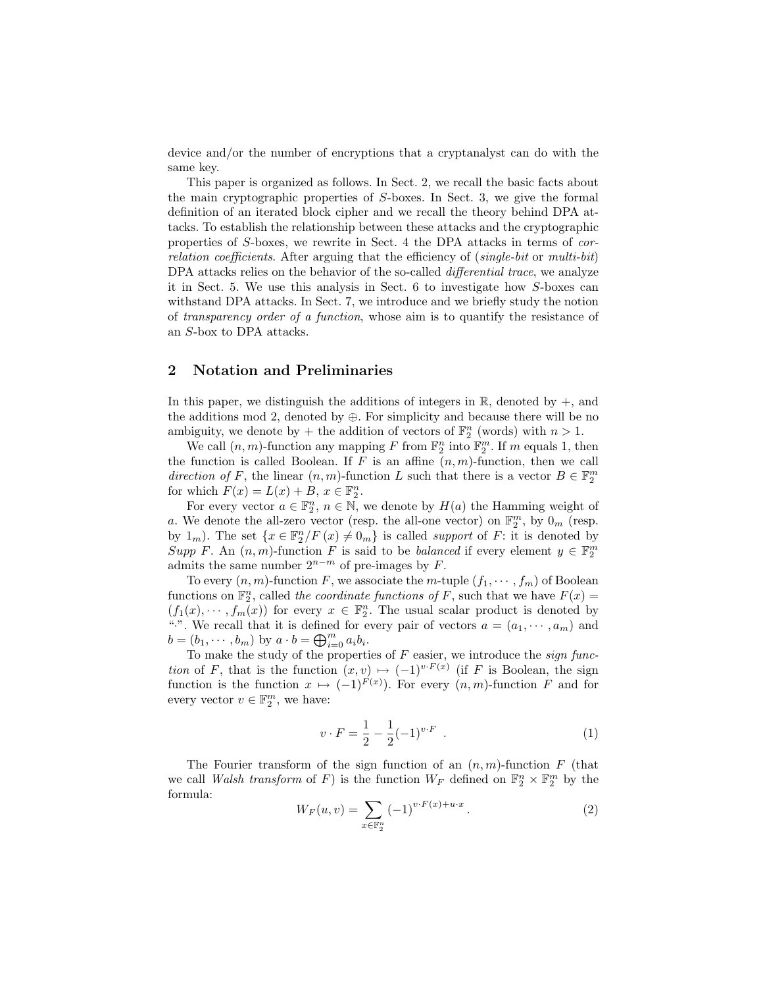device and/or the number of encryptions that a cryptanalyst can do with the same key.

This paper is organized as follows. In Sect. 2, we recall the basic facts about the main cryptographic properties of S-boxes. In Sect. 3, we give the formal definition of an iterated block cipher and we recall the theory behind DPA attacks. To establish the relationship between these attacks and the cryptographic properties of S-boxes, we rewrite in Sect. 4 the DPA attacks in terms of correlation coefficients. After arguing that the efficiency of (single-bit or multi-bit) DPA attacks relies on the behavior of the so-called *differential trace*, we analyze it in Sect. 5. We use this analysis in Sect. 6 to investigate how S-boxes can withstand DPA attacks. In Sect. 7, we introduce and we briefly study the notion of transparency order of a function, whose aim is to quantify the resistance of an S-box to DPA attacks.

# 2 Notation and Preliminaries

In this paper, we distinguish the additions of integers in  $\mathbb{R}$ , denoted by  $+$ , and the additions mod 2, denoted by ⊕. For simplicity and because there will be no ambiguity, we denote by  $+$  the addition of vectors of  $\mathbb{F}_2^n$  (words) with  $n > 1$ .

We call  $(n, m)$ -function any mapping F from  $\mathbb{F}_2^n$  into  $\mathbb{F}_2^m$ . If m equals 1, then the function is called Boolean. If F is an affine  $(n, m)$ -function, then we call direction of F, the linear  $(n, m)$ -function L such that there is a vector  $B \in \mathbb{F}_2^m$ for which  $F(x) = L(x) + B$ ,  $x \in \mathbb{F}_2^n$ .

For every vector  $a \in \mathbb{F}_2^n$ ,  $n \in \mathbb{N}$ , we denote by  $H(a)$  the Hamming weight of a. We denote the all-zero vector (resp. the all-one vector) on  $\mathbb{F}_2^m$ , by  $0_m$  (resp. by  $1_m$ ). The set  $\{x \in \mathbb{F}_2^n / F(x) \neq 0_m\}$  is called *support* of F: it is denoted by Supp F. An  $(n, m)$ -function F is said to be balanced if every element  $y \in \mathbb{F}_2^m$ admits the same number  $2^{n-m}$  of pre-images by F.

To every  $(n, m)$ -function F, we associate the m-tuple  $(f_1, \dots, f_m)$  of Boolean functions on  $\mathbb{F}_2^n$ , called the coordinate functions of F, such that we have  $F(x) =$  $(f_1(x), \dots, f_m(x))$  for every  $x \in \mathbb{F}_2^n$ . The usual scalar product is denoted by ".". We recall that it is defined for every pair of vectors  $a = (a_1, \dots, a_m)$  and  $b = (b_1, \dots, b_m)$  by  $a \cdot b = \bigoplus_{i=0}^{m} a_i b_i$ .

To make the study of the properties of  $F$  easier, we introduce the *sign func*tion of F, that is the function  $(x, v) \mapsto (-1)^{v \cdot F(x)}$  (if F is Boolean, the sign function is the function  $x \mapsto (-1)^{F(x)}$ . For every  $(n, m)$ -function F and for every vector  $v \in \mathbb{F}_2^m$ , we have:

$$
v \cdot F = \frac{1}{2} - \frac{1}{2}(-1)^{v \cdot F} . \tag{1}
$$

The Fourier transform of the sign function of an  $(n, m)$ -function  $F$  (that we call Walsh transform of F) is the function  $W_F$  defined on  $\mathbb{F}_2^n \times \mathbb{F}_2^m$  by the formula:

$$
W_F(u, v) = \sum_{x \in \mathbb{F}_2^n} (-1)^{v \cdot F(x) + u \cdot x}.
$$
 (2)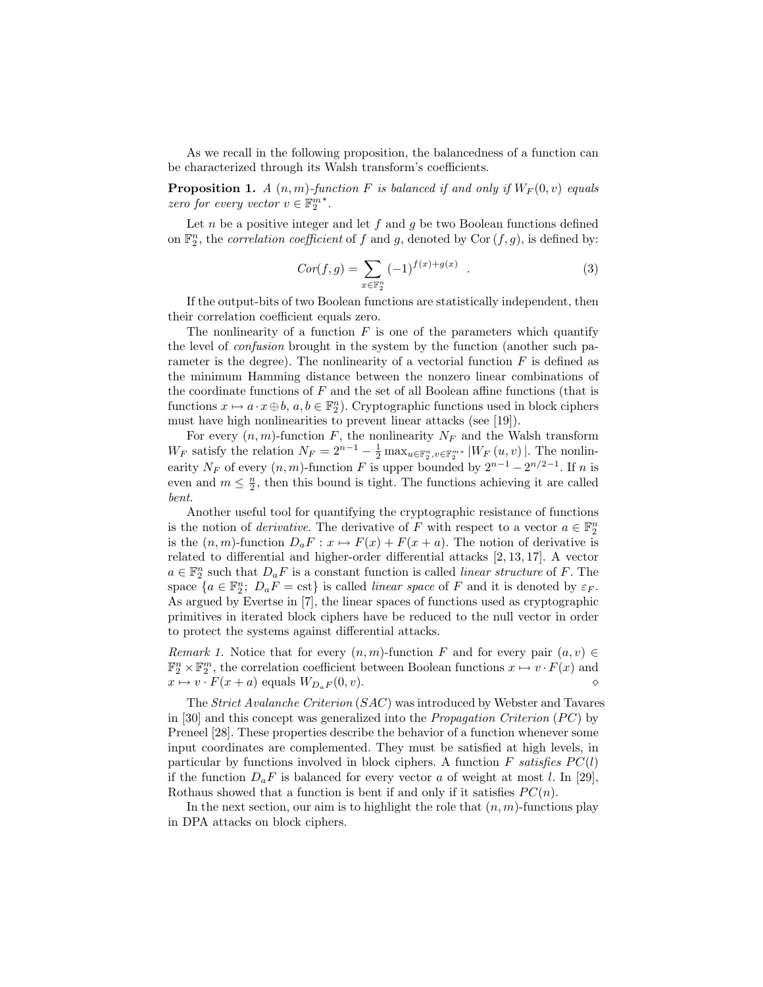As we recall in the following proposition, the balancedness of a function can be characterized through its Walsh transform's coefficients.

**Proposition 1.** A  $(n, m)$ -function F is balanced if and only if  $W_F(0, v)$  equals zero for every vector  $v \in \mathbb{F}_2^{m^*}$ .

Let  $n$  be a positive integer and let  $f$  and  $g$  be two Boolean functions defined on  $\mathbb{F}_2^n$ , the *correlation coefficient* of f and g, denoted by Cor $(f, g)$ , is defined by:

$$
Cor(f, g) = \sum_{x \in \mathbb{F}_2^n} (-1)^{f(x) + g(x)} . \tag{3}
$$

If the output-bits of two Boolean functions are statistically independent, then their correlation coefficient equals zero.

The nonlinearity of a function  $F$  is one of the parameters which quantify the level of confusion brought in the system by the function (another such parameter is the degree). The nonlinearity of a vectorial function  $F$  is defined as the minimum Hamming distance between the nonzero linear combinations of the coordinate functions of  $F$  and the set of all Boolean affine functions (that is functions  $x \mapsto a \cdot x \oplus b, a, b \in \mathbb{F}_2^n$ . Cryptographic functions used in block ciphers must have high nonlinearities to prevent linear attacks (see [19]).

For every  $(n, m)$ -function F, the nonlinearity  $N_F$  and the Walsh transform  $W_F$  satisfy the relation  $N_F = 2^{n-1} - \frac{1}{2} \max_{u \in \mathbb{F}_2^n, v \in \mathbb{F}_2^{m*}} |W_F(u, v)|$ . The nonlinearity  $N_F$  of every  $(n, m)$ -function F is upper bounded by  $2^{n-1} - 2^{n/2-1}$ . If n is even and  $m \leq \frac{n}{2}$ , then this bound is tight. The functions achieving it are called bent.

Another useful tool for quantifying the cryptographic resistance of functions is the notion of *derivative*. The derivative of F with respect to a vector  $a \in \mathbb{F}_2^n$ is the  $(n, m)$ -function  $D_a F : x \mapsto F(x) + F(x + a)$ . The notion of derivative is related to differential and higher-order differential attacks [2, 13, 17]. A vector  $a \in \mathbb{F}_2^n$  such that  $D_a F$  is a constant function is called *linear structure* of F. The space  $\{a \in \mathbb{F}_2^n$ ;  $D_a F = \text{cst}\}$  is called *linear space* of F and it is denoted by  $\varepsilon_F$ . As argued by Evertse in [7], the linear spaces of functions used as cryptographic primitives in iterated block ciphers have be reduced to the null vector in order to protect the systems against differential attacks.

Remark 1. Notice that for every  $(n, m)$ -function F and for every pair  $(a, v) \in$  $\mathbb{F}_2^n \times \mathbb{F}_2^m$ , the correlation coefficient between Boolean functions  $x \mapsto v \cdot F(x)$  and  $x \mapsto v \cdot F(x + a)$  equals  $W_{D_a F}(0, v)$ .

The Strict Avalanche Criterion (SAC) was introduced by Webster and Tavares in [30] and this concept was generalized into the *Propagation Criterion*  $(PC)$  by Preneel [28]. These properties describe the behavior of a function whenever some input coordinates are complemented. They must be satisfied at high levels, in particular by functions involved in block ciphers. A function F satisfies  $PC(l)$ if the function  $D_aF$  is balanced for every vector a of weight at most l. In [29], Rothaus showed that a function is bent if and only if it satisfies  $PC(n)$ .

In the next section, our aim is to highlight the role that  $(n, m)$ -functions play in DPA attacks on block ciphers.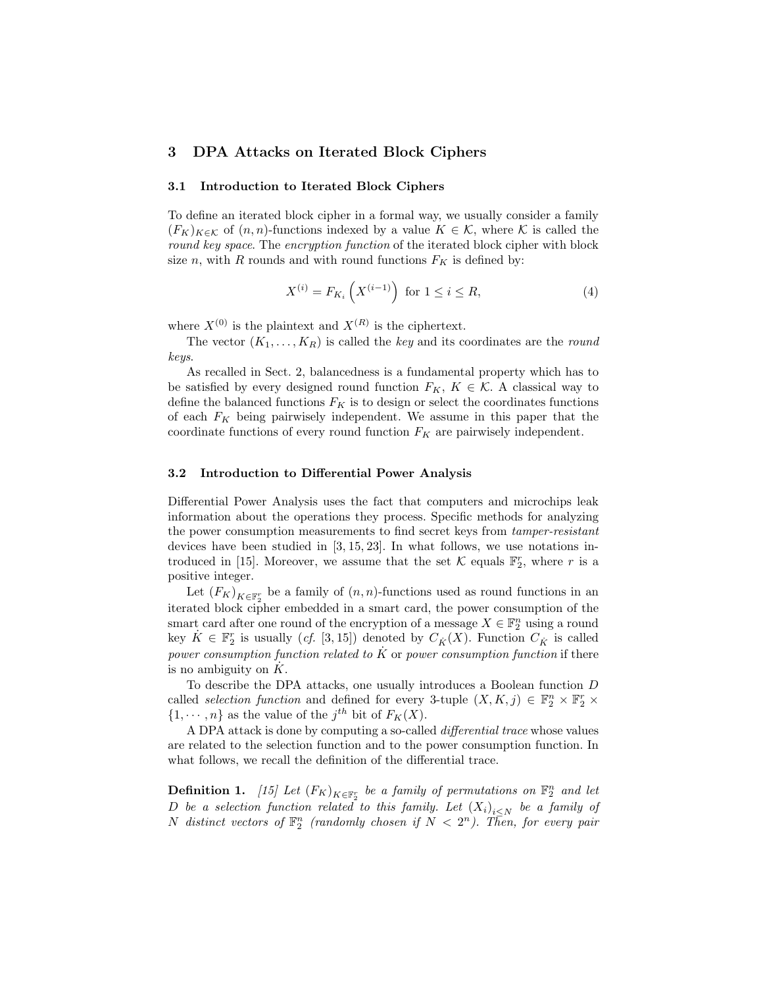# 3 DPA Attacks on Iterated Block Ciphers

#### 3.1 Introduction to Iterated Block Ciphers

To define an iterated block cipher in a formal way, we usually consider a family  $(F_K)_{K \in \mathcal{K}}$  of  $(n, n)$ -functions indexed by a value  $K \in \mathcal{K}$ , where K is called the round key space. The encryption function of the iterated block cipher with block size n, with R rounds and with round functions  $F_K$  is defined by:

$$
X^{(i)} = F_{K_i} \left( X^{(i-1)} \right) \text{ for } 1 \le i \le R,
$$
\n
$$
(4)
$$

where  $X^{(0)}$  is the plaintext and  $X^{(R)}$  is the ciphertext.

The vector  $(K_1, \ldots, K_R)$  is called the key and its coordinates are the round keys.

As recalled in Sect. 2, balancedness is a fundamental property which has to be satisfied by every designed round function  $F_K$ ,  $K \in \mathcal{K}$ . A classical way to define the balanced functions  $F_K$  is to design or select the coordinates functions of each  $F_K$  being pairwisely independent. We assume in this paper that the coordinate functions of every round function  $F_K$  are pairwisely independent.

#### 3.2 Introduction to Differential Power Analysis

Differential Power Analysis uses the fact that computers and microchips leak information about the operations they process. Specific methods for analyzing the power consumption measurements to find secret keys from tamper-resistant devices have been studied in [3, 15, 23]. In what follows, we use notations introduced in [15]. Moreover, we assume that the set  $K$  equals  $\mathbb{F}_2^r$ , where r is a positive integer.

Let  $(F_K)_{K \in \mathbb{F}_2^r}$  be a family of  $(n, n)$ -functions used as round functions in an iterated block cipher embedded in a smart card, the power consumption of the smart card after one round of the encryption of a message  $X \in \mathbb{F}_2^n$  using a round key  $\dot{K} \in \mathbb{F}_2^r$  is usually (cf. [3, 15]) denoted by  $C_{\dot{K}}(X)$ . Function  $C_{\dot{K}}$  is called power consumption function related to  $\tilde{K}$  or power consumption function if there is no ambiguity on  $\ddot{K}$ .

To describe the DPA attacks, one usually introduces a Boolean function D called *selection function* and defined for every 3-tuple  $(X, K, j) \in \mathbb{F}_2^n \times \mathbb{F}_2^r \times$  $\{1, \dots, n\}$  as the value of the  $j^{th}$  bit of  $F_K(X)$ .

A DPA attack is done by computing a so-called differential trace whose values are related to the selection function and to the power consumption function. In what follows, we recall the definition of the differential trace.

**Definition 1.** [15] Let  $(F_K)_{K \in \mathbb{F}_2^r}$  be a family of permutations on  $\mathbb{F}_2^n$  and let D be a selection function related to this family. Let  $(X_i)_{i\leq N}$  be a family of N distinct vectors of  $\mathbb{F}_2^n$  (randomly chosen if  $N < 2^n$ ). Then, for every pair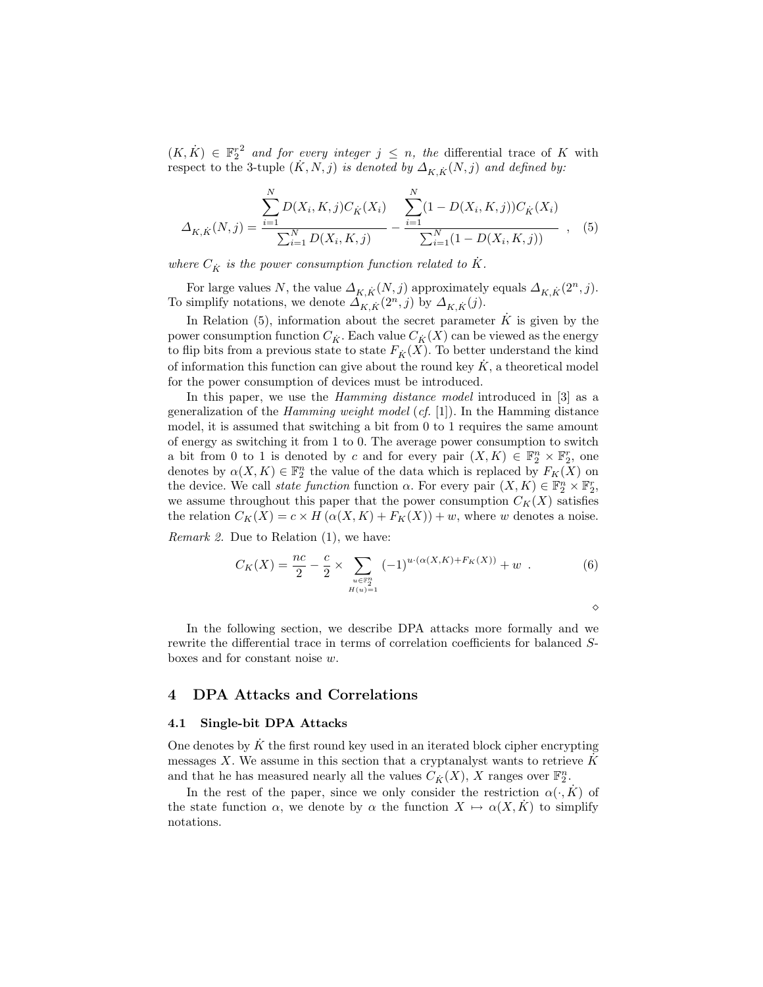$(K, K) \in \mathbb{F}_2^{r^2}$  and for every integer  $j \leq n$ , the differential trace of K with respect to the 3-tuple  $(K, N, j)$  is denoted by  $\Delta_{K, K}(N, j)$  and defined by:

$$
\Delta_{K,K}(N,j) = \frac{\sum_{i=1}^{N} D(X_i, K, j) C_K(X_i)}{\sum_{i=1}^{N} D(X_i, K, j)} - \frac{\sum_{i=1}^{N} (1 - D(X_i, K, j)) C_K(X_i)}{\sum_{i=1}^{N} (1 - D(X_i, K, j))}, \quad (5)
$$

where  $C_{\vec{K}}$  is the power consumption function related to  $\vec{K}$ .

For large values N, the value  $\Delta_{K,\dot{K}}(N,j)$  approximately equals  $\Delta_{K,\dot{K}}(2^n,j)$ . To simplify notations, we denote  $\Delta_{K,K}(2^n,j)$  by  $\Delta_{K,K}(j)$ .

In Relation (5), information about the secret parameter  $\dot{K}$  is given by the power consumption function  $C_K$ . Each value  $C_K(X)$  can be viewed as the energy to flip bits from a previous state to state  $F_K(X)$ . To better understand the kind of information this function can give about the round key  $\dot{K}$ , a theoretical model for the power consumption of devices must be introduced.

In this paper, we use the *Hamming distance model* introduced in [3] as a generalization of the *Hamming weight model* (*cf.* [1]). In the Hamming distance model, it is assumed that switching a bit from 0 to 1 requires the same amount of energy as switching it from 1 to 0. The average power consumption to switch a bit from 0 to 1 is denoted by c and for every pair  $(X,K) \in \mathbb{F}_2^n \times \mathbb{F}_2^r$ , one denotes by  $\alpha(X,K) \in \mathbb{F}_2^n$  the value of the data which is replaced by  $F_K(X)$  on the device. We call *state function* function  $\alpha$ . For every pair  $(X, K) \in \mathbb{F}_2^n \times \mathbb{F}_2^r$ , we assume throughout this paper that the power consumption  $C_K(X)$  satisfies the relation  $C_K(X) = c \times H(\alpha(X, K) + F_K(X)) + w$ , where w denotes a noise.

Remark 2. Due to Relation (1), we have:

$$
C_K(X) = \frac{nc}{2} - \frac{c}{2} \times \sum_{\substack{u \in \mathbb{F}_2^n \\ H(u) = 1}} (-1)^{u \cdot (\alpha(X,K) + F_K(X))} + w \tag{6}
$$

In the following section, we describe DPA attacks more formally and we rewrite the differential trace in terms of correlation coefficients for balanced Sboxes and for constant noise w.

# 4 DPA Attacks and Correlations

#### 4.1 Single-bit DPA Attacks

One denotes by  $\tilde{K}$  the first round key used in an iterated block cipher encrypting messages  $X$ . We assume in this section that a cryptanalyst wants to retrieve  $\hat{K}$ and that he has measured nearly all the values  $C_K(X)$ , X ranges over  $\mathbb{F}_2^n$ .

In the rest of the paper, since we only consider the restriction  $\alpha(\cdot, K)$  of the state function  $\alpha$ , we denote by  $\alpha$  the function  $X \mapsto \alpha(X, K)$  to simplify notations.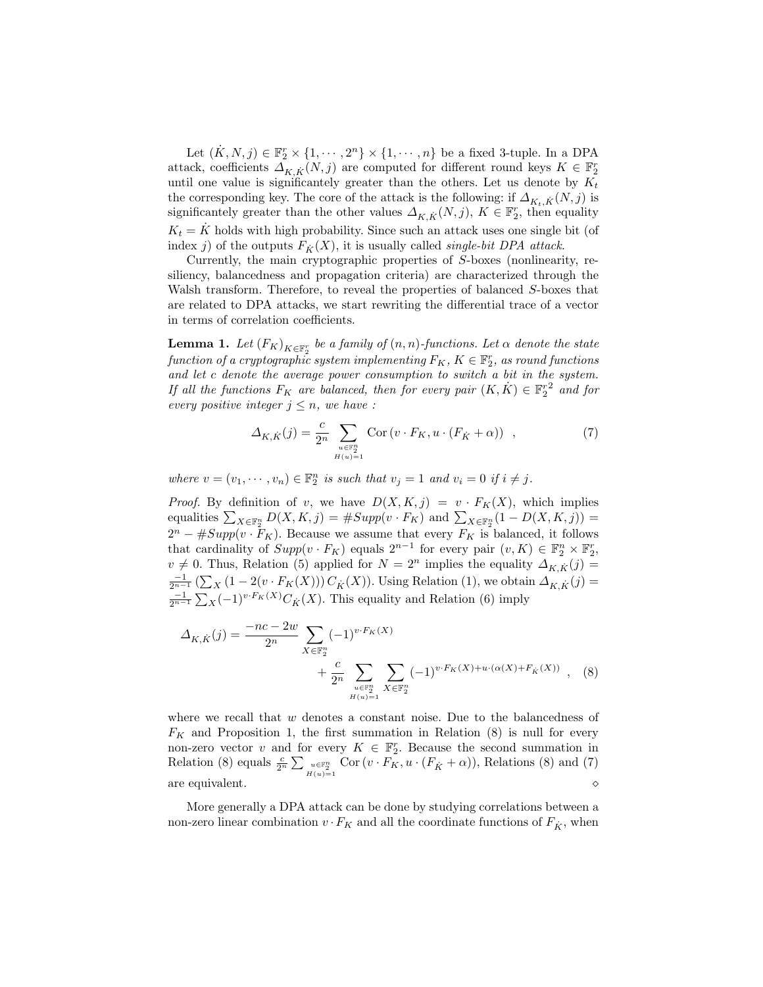Let  $(\dot{K}, N, j) \in \mathbb{F}_2^r \times \{1, \cdots, 2^n\} \times \{1, \cdots, n\}$  be a fixed 3-tuple. In a DPA attack, coefficients  $\overline{\Delta}_{K,K}(N,j)$  are computed for different round keys  $K \in \mathbb{F}_2^r$ until one value is significantely greater than the others. Let us denote by  $K_t$ the corresponding key. The core of the attack is the following: if  $\Delta_{K_t, K}(N, j)$  is significantely greater than the other values  $\Delta_{K,K}(N,j)$ ,  $K \in \mathbb{F}_2^r$ , then equality  $K_t = K$  holds with high probability. Since such an attack uses one single bit (of index j) of the outputs  $F_{\dot{K}}(X)$ , it is usually called *single-bit DPA attack*.

Currently, the main cryptographic properties of S-boxes (nonlinearity, resiliency, balancedness and propagation criteria) are characterized through the Walsh transform. Therefore, to reveal the properties of balanced S-boxes that are related to DPA attacks, we start rewriting the differential trace of a vector in terms of correlation coefficients.

**Lemma 1.** Let  $(F_K)_{K \in \mathbb{F}_2^r}$  be a family of  $(n, n)$ -functions. Let  $\alpha$  denote the state  $\emph{function of a cryptographic system implementing $F_K$},\,K\in\mathbb{F}_2^r$, as round functions$ and let c denote the average power consumption to switch a bit in the system. If all the functions  $F_K$  are balanced, then for every pair  $(K, K) \in \mathbb{F}_2^{r^2}$  and for every positive integer  $j \leq n$ , we have :

$$
\Delta_{K,\dot{K}}(j) = \frac{c}{2^n} \sum_{\substack{u \in \mathbb{F}_2^n \\ H(u) = 1}} \text{Cor}\left(v \cdot F_K, u \cdot (F_{\dot{K}} + \alpha)\right) ,\tag{7}
$$

where  $v = (v_1, \dots, v_n) \in \mathbb{F}_2^n$  is such that  $v_j = 1$  and  $v_i = 0$  if  $i \neq j$ .

*Proof.* By definition of v, we have  $D(X, K, j) = v \cdot F_K(X)$ , which implies equalities  $\sum_{X \in \mathbb{F}_2^n} D(X, K, j) = \# Supp(v \cdot F_K)$  and  $\sum_{X \in \mathbb{F}_2^n} (1 - D(X, K, j)) =$  $2^{n} - \# Supp(v \cdot F_{K})$ . Because we assume that every  $F_{K}$  is balanced, it follows that cardinality of  $Supp(v \cdot F_K)$  equals  $2^{n-1}$  for every pair  $(v, K) \in \mathbb{F}_2^n \times \mathbb{F}_2^r$ ,  $v \neq 0$ . Thus, Relation (5) applied for  $N = 2<sup>n</sup>$  implies the equality  $\Delta_{K,K}(j) =$  $\frac{-1}{2^{n-1}}\left(\sum_{X} (1-2(v\cdot F_K(X))) C_{\dot{K}}(X)\right)$ . Using Relation (1), we obtain  $\Delta_{K, \dot{K}}(j)$  =  $\frac{-1}{2^{n-1}}\sum_{X}(-1)^{v\cdot F_K(X)}C_{\dot{K}}(X)$ . This equality and Relation (6) imply

$$
\Delta_{K,\dot{K}}(j) = \frac{-nc - 2w}{2^n} \sum_{X \in \mathbb{F}_2^n} (-1)^{v \cdot F_K(X)} + \frac{c}{2^n} \sum_{\substack{u \in \mathbb{F}_2^n \\ H(u) = 1}} (-1)^{v \cdot F_K(X) + u \cdot (\alpha(X) + F_{\dot{K}}(X))} ,
$$
 (8)

where we recall that w denotes a constant noise. Due to the balancedness of  $F_K$  and Proposition 1, the first summation in Relation (8) is null for every non-zero vector v and for every  $K \in \mathbb{F}_2^r$ . Because the second summation in Relation (8) equals  $\frac{c}{2^n} \sum_{\substack{u \in \mathbb{F}_2^n \\ H(u)=1}}$  Cor  $(v \cdot F_K, u \cdot (F_K + \alpha))$ , Relations (8) and (7) are equivalent.

More generally a DPA attack can be done by studying correlations between a non-zero linear combination  $v \cdot F_K$  and all the coordinate functions of  $F_K$ <sup>, when</sup>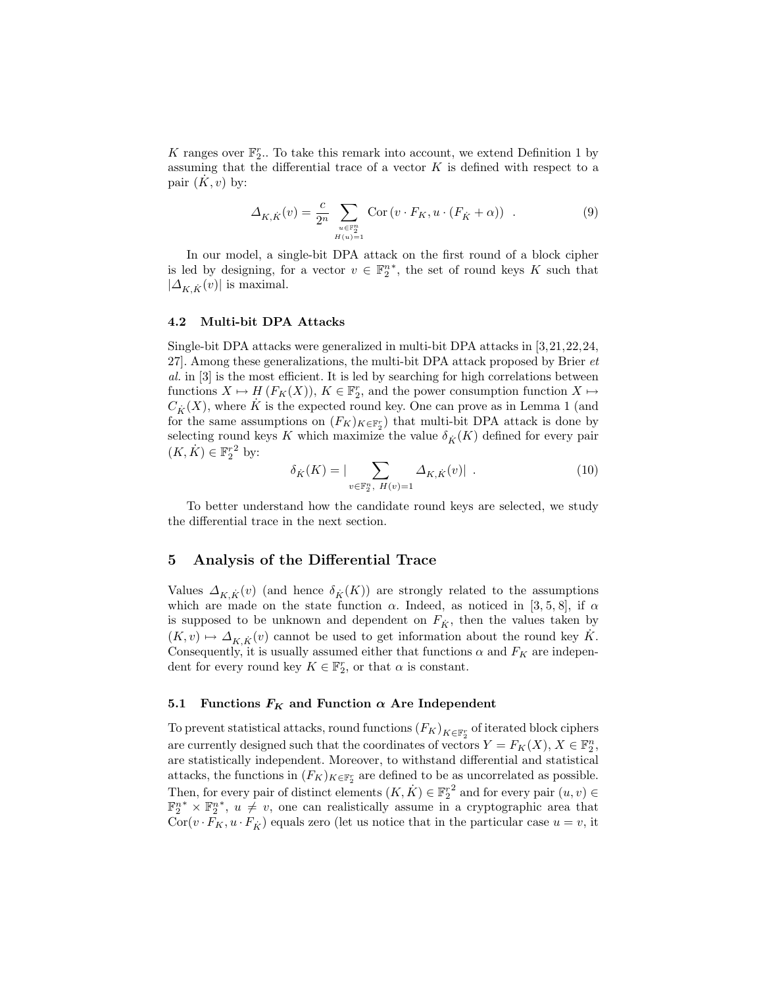K ranges over  $\mathbb{F}_2^r$ . To take this remark into account, we extend Definition 1 by assuming that the differential trace of a vector  $K$  is defined with respect to a pair  $(K, v)$  by:

$$
\Delta_{K,\dot{K}}(v) = \frac{c}{2^n} \sum_{\substack{u \in \mathbb{F}_2^n \\ H(u) = 1}} \text{Cor}\left(v \cdot F_K, u \cdot (F_{\dot{K}} + \alpha)\right) . \tag{9}
$$

In our model, a single-bit DPA attack on the first round of a block cipher is led by designing, for a vector  $v \in \mathbb{F}_2^{n^*}$ , the set of round keys K such that  $|\Delta_{K,K}(v)|$  is maximal.

#### 4.2 Multi-bit DPA Attacks

Single-bit DPA attacks were generalized in multi-bit DPA attacks in [3,21,22,24, 27. Among these generalizations, the multi-bit DPA attack proposed by Brier  $et$ al. in [3] is the most efficient. It is led by searching for high correlations between functions  $X \mapsto H(F_K(X)), K \in \mathbb{F}_2^r$ , and the power consumption function  $X \mapsto$  $C_K(X)$ , where  $\dot{K}$  is the expected round key. One can prove as in Lemma 1 (and for the same assumptions on  $(F_K)_{K \in \mathbb{F}_2^r}$  that multi-bit DPA attack is done by selecting round keys K which maximize the value  $\delta_K(K)$  defined for every pair  $(K, \dot{K}) \in \mathbb{F}_2^{r^2}$  by:

$$
\delta_{\dot{K}}(K) = |\sum_{v \in \mathbb{F}_2^n, H(v) = 1} \Delta_{K, \dot{K}}(v)|.
$$
 (10)

To better understand how the candidate round keys are selected, we study the differential trace in the next section.

## 5 Analysis of the Differential Trace

Values  $\Delta_{K, K}(v)$  (and hence  $\delta_{K}(K)$ ) are strongly related to the assumptions which are made on the state function  $\alpha$ . Indeed, as noticed in [3, 5, 8], if  $\alpha$ is supposed to be unknown and dependent on  $F_{\dot{K}}$ , then the values taken by  $(K, v) \mapsto \Delta_{K,K}(v)$  cannot be used to get information about the round key  $\dot{K}$ . Consequently, it is usually assumed either that functions  $\alpha$  and  $F_K$  are independent for every round key  $K \in \mathbb{F}_2^r$ , or that  $\alpha$  is constant.

#### 5.1 Functions  $F_K$  and Function  $\alpha$  Are Independent

To prevent statistical attacks, round functions  $(F_K)_{K \in \mathbb{F}_2^r}$  of iterated block ciphers are currently designed such that the coordinates of vectors  $Y = F_K(X), X \in \mathbb{F}_2^n$ , are statistically independent. Moreover, to withstand differential and statistical attacks, the functions in  $(F_K)_{K \in \mathbb{F}_2^r}$  are defined to be as uncorrelated as possible. Then, for every pair of distinct elements  $(K, K) \in \mathbb{F}_2^{r^2}$  and for every pair  $(u, v) \in$  $\mathbb{F}_2^{n*} \times \mathbb{F}_2^{n*}$ ,  $u \neq v$ , one can realistically assume in a cryptographic area that  $Cor(v \cdot F_K, u \cdot F_{\dot{K}})$  equals zero (let us notice that in the particular case  $u = v$ , it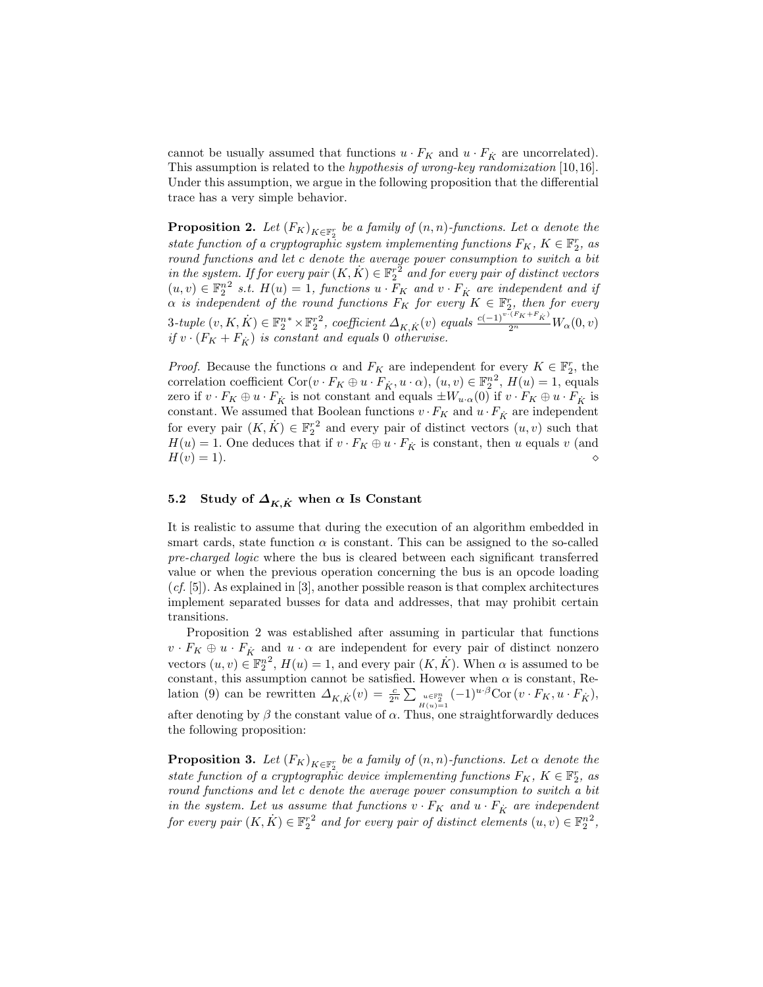cannot be usually assumed that functions  $u \cdot F_K$  and  $u \cdot F_K$  are uncorrelated). This assumption is related to the hypothesis of wrong-key randomization [10,16]. Under this assumption, we argue in the following proposition that the differential trace has a very simple behavior.

**Proposition 2.** Let  $(F_K)_{K \in \mathbb{F}_2^r}$  be a family of  $(n, n)$ -functions. Let  $\alpha$  denote the state function of a cryptographic system implementing functions  $F_K$ ,  $K \in \mathbb{F}_2^r$ , as round functions and let c denote the average power consumption to switch a bit in the system. If for every pair  $(K, \dot K) \in \mathbb{F}_2^{r^2}$  and for every pair of distinct vectors  $(u, v) \in \mathbb{F}_2^{n^2}$  s.t.  $H(u) = 1$ , functions  $u \cdot F_K$  and  $v \cdot F_K$  are independent and if  $\alpha$  is independent of the round functions  $F_K$  for every  $K \in \mathbb{F}_2^r$ , then for every 3-tuple  $(v, K, \dot{K}) \in \mathbb{F}_2^{n*} \times \mathbb{F}_2^{r2}$ , coefficient  $\Delta_{K, \dot{K}}(v)$  equals  $\frac{c(-1)^{v \cdot (F_K + F_{\dot{K}})}}{2^n} W_{\alpha}(0, v)$ if  $v \cdot (F_K + F_{\dot K})$  is constant and equals 0 otherwise.

*Proof.* Because the functions  $\alpha$  and  $F_K$  are independent for every  $K \in \mathbb{F}_2^r$ , the correlation coefficient  $Cor(v \cdot F_K \oplus u \cdot F_K, u \cdot \alpha)$ ,  $(u, v) \in \mathbb{F}_2^{n^2}$ ,  $H(u) = 1$ , equals zero if  $v \cdot F_K \oplus u \cdot F_K$  is not constant and equals  $\pm W_{u \cdot \alpha}(0)$  if  $v \cdot F_K \oplus u \cdot F_K$  is constant. We assumed that Boolean functions  $v\cdot F_K$  and  $u\cdot F_{\dot K}$  are independent for every pair  $(K, \dot{K}) \in \mathbb{F}_2^{r^2}$  and every pair of distinct vectors  $(u, v)$  such that  $H(u) = 1$ . One deduces that if  $v \cdot F_K \oplus u \cdot F_K$  is constant, then u equals v (and  $H(v) = 1$ .

# 5.2 Study of  $\Delta_{K,K}$  when  $\alpha$  Is Constant

It is realistic to assume that during the execution of an algorithm embedded in smart cards, state function  $\alpha$  is constant. This can be assigned to the so-called pre-charged logic where the bus is cleared between each significant transferred value or when the previous operation concerning the bus is an opcode loading  $(cf. [5])$ . As explained in [3], another possible reason is that complex architectures implement separated busses for data and addresses, that may prohibit certain transitions.

Proposition 2 was established after assuming in particular that functions  $v \cdot F_K \oplus u \cdot F_K$  and  $u \cdot \alpha$  are independent for every pair of distinct nonzero vectors  $(u, v) \in \mathbb{F}_2^{n^2}$ ,  $H(u) = 1$ , and every pair  $(K, K)$ . When  $\alpha$  is assumed to be constant, this assumption cannot be satisfied. However when  $\alpha$  is constant, Relation (9) can be rewritten  $\Delta_{K,\dot{K}}(v) = \frac{c}{2^n} \sum_{u \in \mathbb{F}_2^n} (-1)^{u \cdot \beta} \text{Cor}(v \cdot F_K, u \cdot F_{\dot{K}}),$ after denoting by  $\beta$  the constant value of  $\alpha$ . Thus, one straightforwardly deduces the following proposition:

**Proposition 3.** Let  $(F_K)_{K \in \mathbb{F}_2^r}$  be a family of  $(n, n)$ -functions. Let  $\alpha$  denote the state function of a cryptographic device implementing functions  $F_K$ ,  $K \in \mathbb{F}_2^r$ , as round functions and let c denote the average power consumption to switch a bit in the system. Let us assume that functions  $v \cdot F_K$  and  $u \cdot F_K$  are independent for every pair  $(K, \dot K) \in \mathbb{F}_2^{r^2}$  and for every pair of distinct elements  $(u, v) \in \mathbb{F}_2^{n^2}$ ,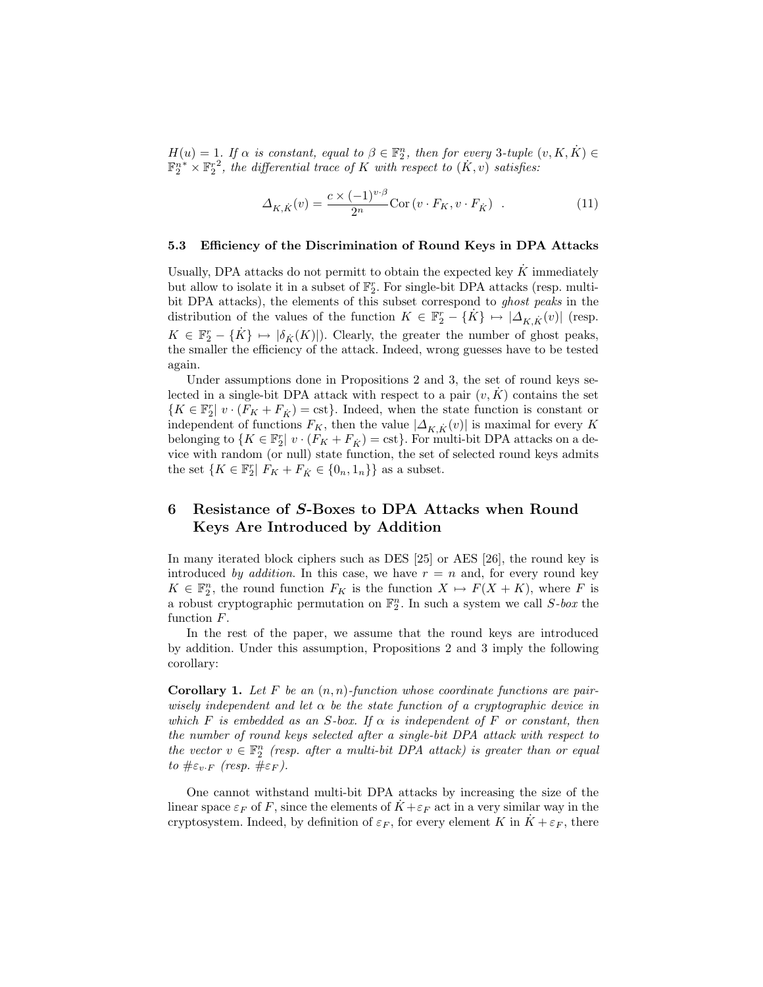$H(u) = 1$ . If  $\alpha$  is constant, equal to  $\beta \in \mathbb{F}_2^n$ , then for every 3-tuple  $(v, K, \dot{K}) \in$  $\mathbb{F}_2^{n*}\times \mathbb{F}_2^{r2}$ , the differential trace of K with respect to  $(\dot{K}, v)$  satisfies:

$$
\Delta_{K,\dot{K}}(v) = \frac{c \times (-1)^{v \cdot \beta}}{2^n} \text{Cor}\left(v \cdot F_K, v \cdot F_{\dot{K}}\right) \tag{11}
$$

#### 5.3 Efficiency of the Discrimination of Round Keys in DPA Attacks

Usually, DPA attacks do not permitt to obtain the expected key  $\dot{K}$  immediately but allow to isolate it in a subset of  $\mathbb{F}_2^r$ . For single-bit DPA attacks (resp. multibit DPA attacks), the elements of this subset correspond to ghost peaks in the distribution of the values of the function  $K \in \mathbb{F}_2^r - {\{\dot{K}\}} \mapsto |\Delta_{K,\dot{K}}(v)|$  (resp.  $K \in \mathbb{F}_2^r - {\{\dot{K}\}} \mapsto |\delta_{\dot{K}}(K)|$ . Clearly, the greater the number of ghost peaks, the smaller the efficiency of the attack. Indeed, wrong guesses have to be tested again.

Under assumptions done in Propositions 2 and 3, the set of round keys selected in a single-bit DPA attack with respect to a pair  $(v, K)$  contains the set  $\{K \in \mathbb{F}_2^r | v \cdot (F_K + F_K) = \text{cst}\}\.$  Indeed, when the state function is constant or independent of functions  $F_K$ , then the value  $|\Delta_{K,K}(v)|$  is maximal for every K belonging to  $\{K \in \mathbb{F}_2^r | v \cdot (F_K + F_K) = \text{cst}\}\)$ . For multi-bit DPA attacks on a device with random (or null) state function, the set of selected round keys admits the set  $\{K \in \mathbb{F}_2^n | F_K + F_K \in \{0_n, 1_n\}\}\$ as a subset.

# 6 Resistance of S-Boxes to DPA Attacks when Round Keys Are Introduced by Addition

In many iterated block ciphers such as DES [25] or AES [26], the round key is introduced by addition. In this case, we have  $r = n$  and, for every round key  $K \in \mathbb{F}_2^n$ , the round function  $F_K$  is the function  $X \mapsto F(X+K)$ , where F is a robust cryptographic permutation on  $\mathbb{F}_2^n$ . In such a system we call S-box the function F.

In the rest of the paper, we assume that the round keys are introduced by addition. Under this assumption, Propositions 2 and 3 imply the following corollary:

**Corollary 1.** Let F be an  $(n, n)$ -function whose coordinate functions are pairwisely independent and let  $\alpha$  be the state function of a cryptographic device in which F is embedded as an S-box. If  $\alpha$  is independent of F or constant, then the number of round keys selected after a single-bit DPA attack with respect to the vector  $v \in \mathbb{F}_2^n$  (resp. after a multi-bit DPA attack) is greater than or equal to  $\#\varepsilon_{v\cdot F}$  (resp.  $\#\varepsilon_F$ ).

One cannot withstand multi-bit DPA attacks by increasing the size of the linear space  $\varepsilon_F$  of F, since the elements of  $K+\varepsilon_F$  act in a very similar way in the cryptosystem. Indeed, by definition of  $\varepsilon_F$ , for every element K in  $\overline{K} + \varepsilon_F$ , there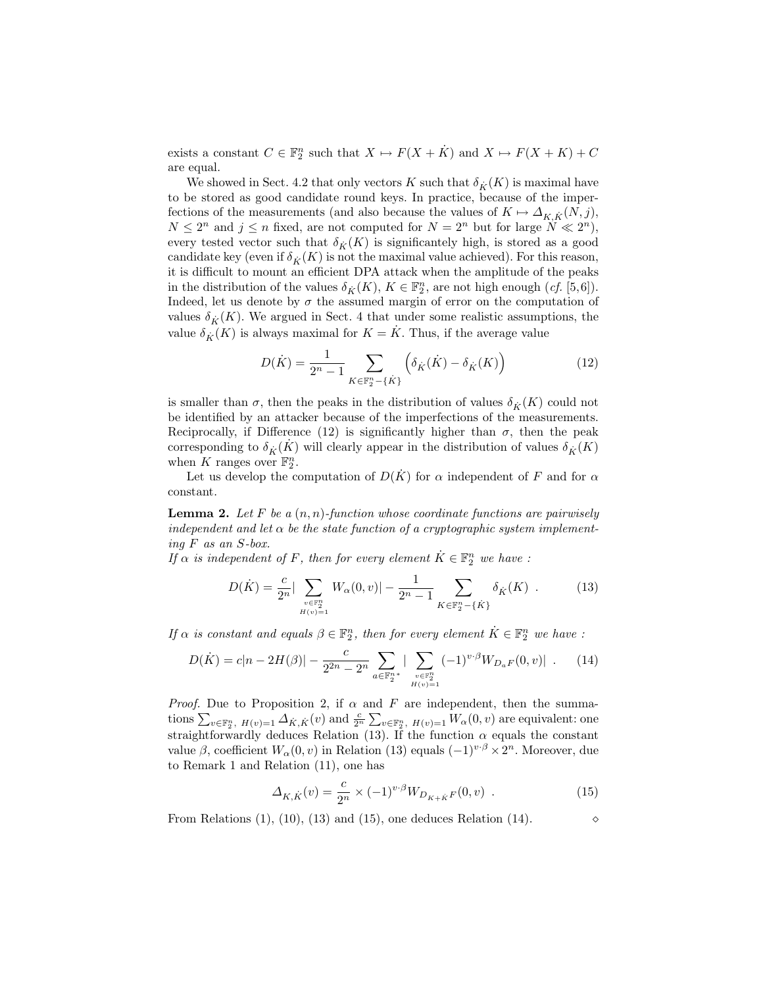exists a constant  $C \in \mathbb{F}_2^n$  such that  $X \mapsto F(X + \dot{K})$  and  $X \mapsto F(X + K) + C$ are equal.

We showed in Sect. 4.2 that only vectors K such that  $\delta_K(K)$  is maximal have to be stored as good candidate round keys. In practice, because of the imperfections of the measurements (and also because the values of  $K \mapsto \Delta_{K,K}(N, j)$ ,  $N \leq 2^n$  and  $j \leq n$  fixed, are not computed for  $N = 2^n$  but for large  $N \ll 2^n$ ), every tested vector such that  $\delta_K(K)$  is significantely high, is stored as a good candidate key (even if  $\delta_K(K)$  is not the maximal value achieved). For this reason, it is difficult to mount an efficient DPA attack when the amplitude of the peaks in the distribution of the values  $\delta_K(K)$ ,  $K \in \mathbb{F}_2^n$ , are not high enough  $(cf. [5, 6])$ . Indeed, let us denote by  $\sigma$  the assumed margin of error on the computation of values  $\delta_K(K)$ . We argued in Sect. 4 that under some realistic assumptions, the value  $\delta_K(K)$  is always maximal for  $K = \dot{K}$ . Thus, if the average value

$$
D(\dot{K}) = \frac{1}{2^{n} - 1} \sum_{K \in \mathbb{F}_{2}^{n} - \{\dot{K}\}} \left( \delta_{\dot{K}}(\dot{K}) - \delta_{\dot{K}}(K) \right)
$$
(12)

is smaller than  $\sigma$ , then the peaks in the distribution of values  $\delta_K(K)$  could not be identified by an attacker because of the imperfections of the measurements. Reciprocally, if Difference (12) is significantly higher than  $\sigma$ , then the peak corresponding to  $\delta_K(K)$  will clearly appear in the distribution of values  $\delta_K(K)$ when K ranges over  $\mathbb{F}_2^n$ .

Let us develop the computation of  $D(K)$  for  $\alpha$  independent of F and for  $\alpha$ constant.

**Lemma 2.** Let F be a  $(n, n)$ -function whose coordinate functions are pairwisely independent and let  $\alpha$  be the state function of a cryptographic system implementing F as an S-box.

If  $\alpha$  is independent of F, then for every element  $\dot{K} \in \mathbb{F}_2^n$  we have :

$$
D(\dot{K}) = \frac{c}{2^n} |\sum_{\substack{v \in \mathbb{F}_2^n \\ H(v) = 1}} W_\alpha(0, v)| - \frac{1}{2^n - 1} \sum_{K \in \mathbb{F}_2^n - \{\dot{K}\}} \delta_{\dot{K}}(K) .
$$
 (13)

If  $\alpha$  is constant and equals  $\beta \in \mathbb{F}_2^n$ , then for every element  $\dot{K} \in \mathbb{F}_2^n$  we have :

$$
D(\dot{K}) = c|n - 2H(\beta)| - \frac{c}{2^{2n} - 2^n} \sum_{a \in \mathbb{F}_2^{n^*}} |\sum_{\substack{v \in \mathbb{F}_2^n \\ H(v) = 1}} (-1)^{v \cdot \beta} W_{D_a F}(0, v)| . \tag{14}
$$

*Proof.* Due to Proposition 2, if  $\alpha$  and F are independent, then the summations  $\sum_{v \in \mathbb{F}_2^n, H(v)=1} \Delta_{\dot{K}, \dot{K}}(v)$  and  $\frac{c}{2^n} \sum_{v \in \mathbb{F}_2^n, H(v)=1} W_\alpha(0, v)$  are equivalent: one straightforwardly deduces Relation (13). If the function  $\alpha$  equals the constant value  $\beta$ , coefficient  $W_{\alpha}(0, v)$  in Relation (13) equals  $(-1)^{v \cdot \beta} \times 2^n$ . Moreover, due to Remark 1 and Relation (11), one has

$$
\Delta_{K,K}(v) = \frac{c}{2^n} \times (-1)^{v \cdot \beta} W_{D_{K+K}F}(0, v) . \tag{15}
$$

From Relations (1), (10), (13) and (15), one deduces Relation (14).  $\diamond$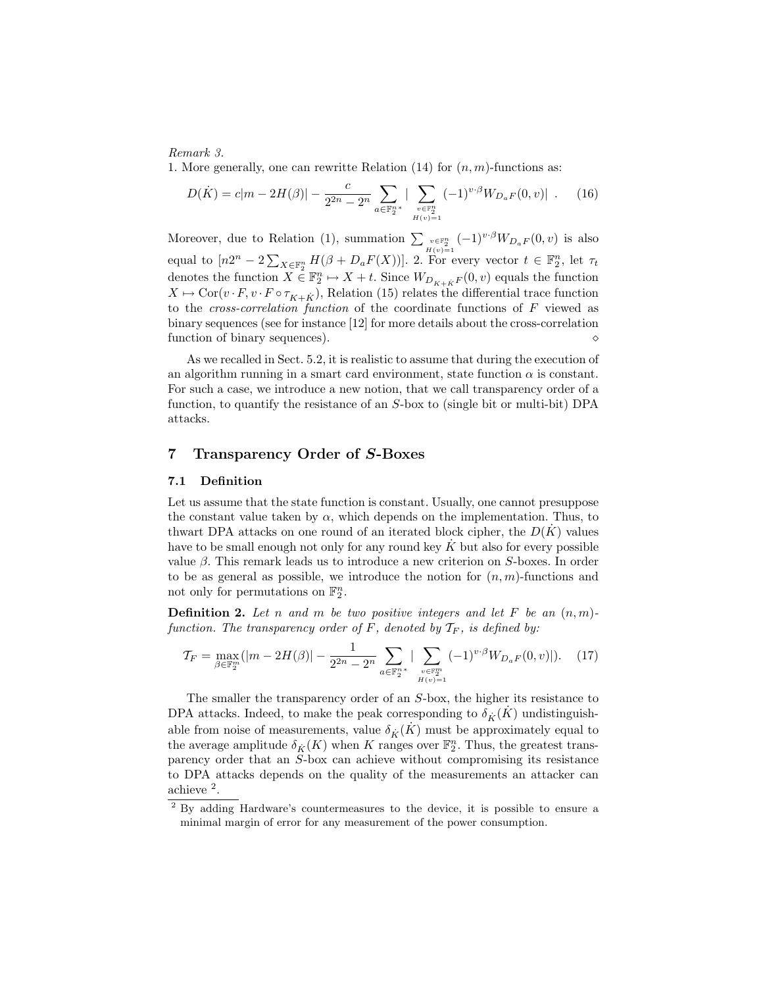#### Remark 3.

1. More generally, one can rewritte Relation  $(14)$  for  $(n, m)$ -functions as:

$$
D(\dot{K}) = c|m - 2H(\beta)| - \frac{c}{2^{2n} - 2^n} \sum_{a \in \mathbb{F}_2^{n*}} |\sum_{v \in \mathbb{F}_2^n \atop H(v) = 1} (-1)^{v \cdot \beta} W_{D_a F}(0, v)| . \quad (16)
$$

Moreover, due to Relation (1), summation  $\sum_{v \in \mathbb{F}_2^n \atop H(v)=1} (-1)^{v \cdot \beta} W_{D_a F}(0, v)$  is also equal to  $[n2^n - 2\sum_{X \in \mathbb{F}_2^n} H(\beta + D_a F(X))]$ . 2. For every vector  $t \in \mathbb{F}_2^n$ , let  $\tau_t$ denotes the function  $X \in \mathbb{F}_2^n \mapsto X + t$ . Since  $W_{D_{K+\hat{K}}F}(0, v)$  equals the function  $X \mapsto \text{Cor}(v \cdot F, v \cdot F \circ \tau_{K+\hat{K}})$ , Relation (15) relates the differential trace function to the *cross-correlation function* of the coordinate functions of  $F$  viewed as binary sequences (see for instance [12] for more details about the cross-correlation function of binary sequences).

As we recalled in Sect. 5.2, it is realistic to assume that during the execution of an algorithm running in a smart card environment, state function  $\alpha$  is constant. For such a case, we introduce a new notion, that we call transparency order of a function, to quantify the resistance of an S-box to (single bit or multi-bit) DPA attacks.

## 7 Transparency Order of S-Boxes

### 7.1 Definition

Let us assume that the state function is constant. Usually, one cannot presuppose the constant value taken by  $\alpha$ , which depends on the implementation. Thus, to thwart DPA attacks on one round of an iterated block cipher, the  $D(K)$  values have to be small enough not only for any round key  $K$  but also for every possible value β. This remark leads us to introduce a new criterion on S-boxes. In order to be as general as possible, we introduce the notion for  $(n, m)$ -functions and not only for permutations on  $\mathbb{F}_2^n$ .

**Definition 2.** Let n and m be two positive integers and let F be an  $(n, m)$ function. The transparency order of F, denoted by  $T_F$ , is defined by:

$$
\mathcal{T}_F = \max_{\beta \in \mathbb{F}_2^m} (|m - 2H(\beta)| - \frac{1}{2^{2n} - 2^n} \sum_{a \in \mathbb{F}_2^n} \left| \sum_{\substack{v \in \mathbb{F}_2^m \\ H(v) = 1}} (-1)^{v \cdot \beta} W_{D_a F}(0, v) \right|). \tag{17}
$$

The smaller the transparency order of an S-box, the higher its resistance to DPA attacks. Indeed, to make the peak corresponding to  $\delta_K(K)$  undistinguishable from noise of measurements, value  $\delta_K(K)$  must be approximately equal to the average amplitude  $\delta_K(K)$  when K ranges over  $\mathbb{F}_2^n$ . Thus, the greatest transparency order that an S-box can achieve without compromising its resistance to DPA attacks depends on the quality of the measurements an attacker can achieve <sup>2</sup> .

<sup>2</sup> By adding Hardware's countermeasures to the device, it is possible to ensure a minimal margin of error for any measurement of the power consumption.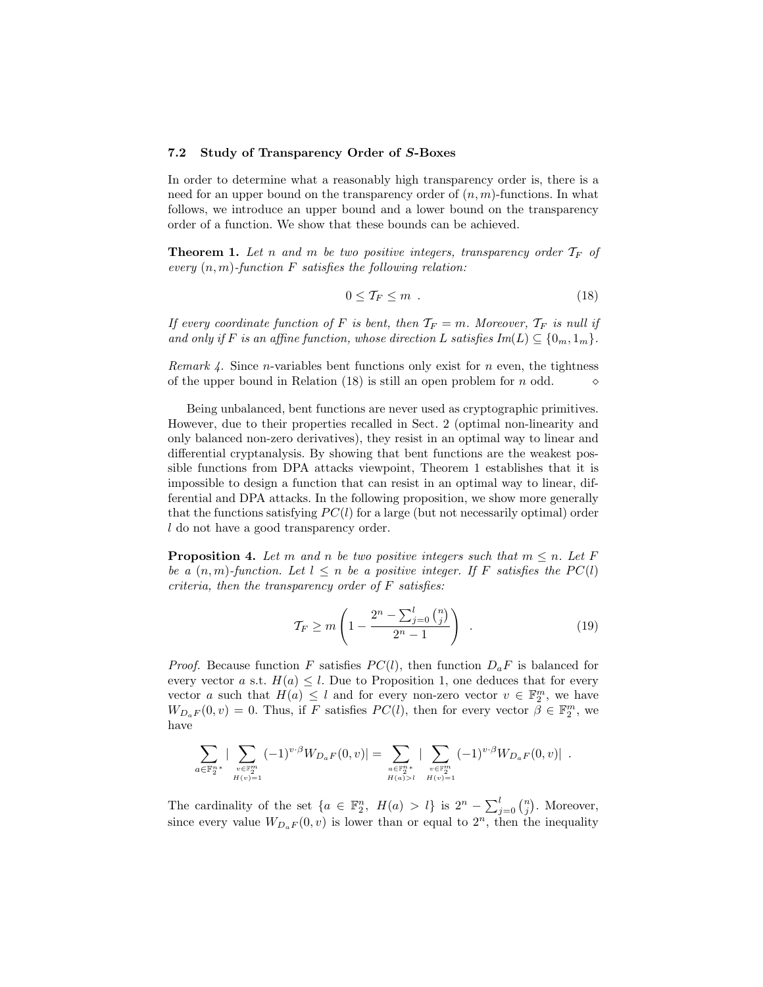#### 7.2 Study of Transparency Order of S-Boxes

In order to determine what a reasonably high transparency order is, there is a need for an upper bound on the transparency order of  $(n, m)$ -functions. In what follows, we introduce an upper bound and a lower bound on the transparency order of a function. We show that these bounds can be achieved.

**Theorem 1.** Let n and m be two positive integers, transparency order  $T_F$  of every  $(n, m)$ -function F satisfies the following relation:

$$
0 \le T_F \le m \tag{18}
$$

If every coordinate function of F is bent, then  $T_F = m$ . Moreover,  $T_F$  is null if and only if F is an affine function, whose direction L satisfies  $Im(L) \subseteq \{0_m, 1_m\}$ .

Remark 4. Since *n*-variables bent functions only exist for *n* even, the tightness of the upper bound in Relation (18) is still an open problem for n odd.  $\diamond$ 

Being unbalanced, bent functions are never used as cryptographic primitives. However, due to their properties recalled in Sect. 2 (optimal non-linearity and only balanced non-zero derivatives), they resist in an optimal way to linear and differential cryptanalysis. By showing that bent functions are the weakest possible functions from DPA attacks viewpoint, Theorem 1 establishes that it is impossible to design a function that can resist in an optimal way to linear, differential and DPA attacks. In the following proposition, we show more generally that the functions satisfying  $PC(l)$  for a large (but not necessarily optimal) order l do not have a good transparency order.

**Proposition 4.** Let m and n be two positive integers such that  $m \leq n$ . Let F be a  $(n, m)$ -function. Let  $l \leq n$  be a positive integer. If F satisfies the PC(l) criteria, then the transparency order of  $F$  satisfies:

$$
\mathcal{T}_F \ge m \left( 1 - \frac{2^n - \sum_{j=0}^l \binom{n}{j}}{2^n - 1} \right) \tag{19}
$$

*Proof.* Because function F satisfies  $PC(l)$ , then function  $D_aF$  is balanced for every vector a s.t.  $H(a) \leq l$ . Due to Proposition 1, one deduces that for every vector a such that  $H(a) \leq l$  and for every non-zero vector  $v \in \mathbb{F}_2^m$ , we have  $W_{D_aF}(0, v) = 0$ . Thus, if F satisfies  $PC(l)$ , then for every vector  $\bar{\beta} \in \mathbb{F}_2^m$ , we have

$$
\sum_{a \in \mathbb{F}_2^{n^*}} |\sum_{v \in \mathbb{F}_2^m \atop H(v)=1} (-1)^{v \cdot \beta} W_{D_a F}(0,v)| = \sum_{a \in \mathbb{F}_2^{n^*} \atop H(a) > l} |\sum_{v \in \mathbb{F}_2^m \atop H(v)=1} (-1)^{v \cdot \beta} W_{D_a F}(0,v)|.
$$

The cardinality of the set  $\{a \in \mathbb{F}_2^n, H(a) > l\}$  is  $2^n - \sum_{j=0}^l {n \choose j}$ . Moreover, since every value  $W_{D_aF}(0, v)$  is lower than or equal to  $2^n$ , then the inequality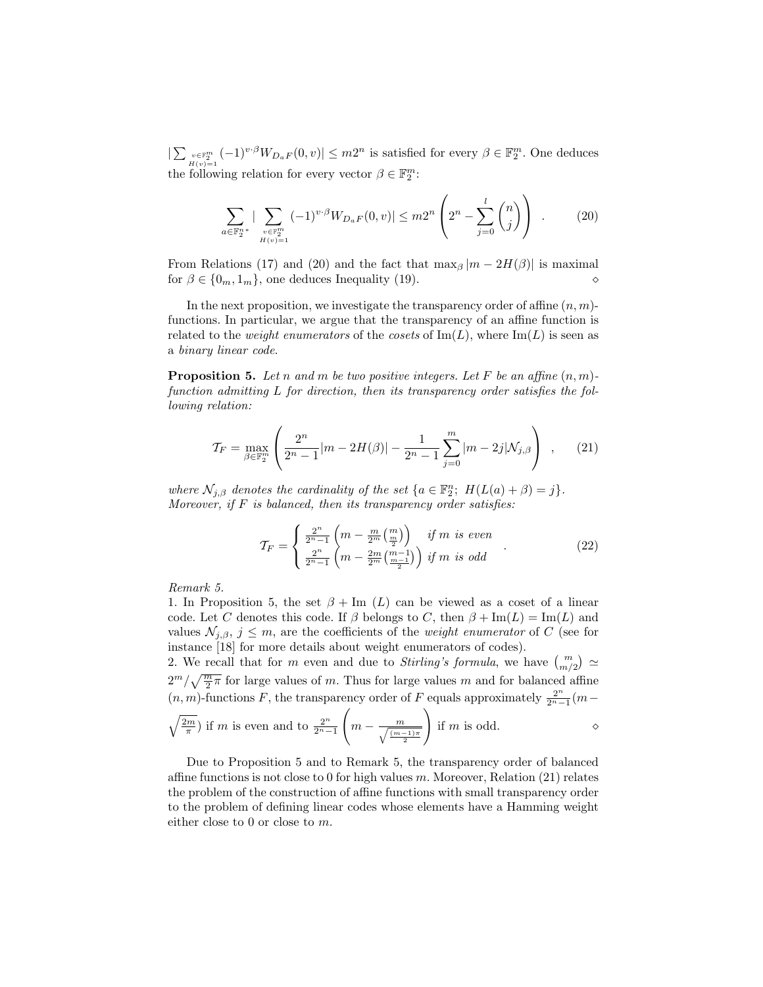$|\sum_{u \in \mathbb{F}_2^m} (-1)^{v \cdot \beta} W_{D_a F}(0, v)| \leq m2^n$  is satisfied for every  $\beta \in \mathbb{F}_2^m$ . One deduces the following relation for every vector  $\beta \in \mathbb{F}_2^m$ :

$$
\sum_{a \in \mathbb{F}_2^{n*}} |\sum_{v \in \mathbb{F}_2^m \atop H(v) = 1} (-1)^{v \cdot \beta} W_{D_a F}(0, v)| \le m 2^n \left( 2^n - \sum_{j=0}^l \binom{n}{j} \right) . \tag{20}
$$

From Relations (17) and (20) and the fact that  $\max_{\beta} |m - 2H(\beta)|$  is maximal for  $\beta \in \{0_m, 1_m\}$ , one deduces Inequality (19).

In the next proposition, we investigate the transparency order of affine  $(n, m)$ functions. In particular, we argue that the transparency of an affine function is related to the *weight enumerators* of the *cosets* of  $\text{Im}(L)$ , where  $\text{Im}(L)$  is seen as a binary linear code.

**Proposition 5.** Let n and m be two positive integers. Let F be an affine  $(n, m)$ function admitting L for direction, then its transparency order satisfies the following relation:

$$
\mathcal{T}_F = \max_{\beta \in \mathbb{F}_2^m} \left( \frac{2^n}{2^n - 1} |m - 2H(\beta)| - \frac{1}{2^n - 1} \sum_{j=0}^m |m - 2j| \mathcal{N}_{j,\beta} \right) , \qquad (21)
$$

where  $\mathcal{N}_{j,\beta}$  denotes the cardinality of the set  $\{a \in \mathbb{F}_2^n$ ;  $H(L(a) + \beta) = j\}$ . Moreover, if  $F$  is balanced, then its transparency order satisfies:

$$
\mathcal{T}_F = \begin{cases} \frac{2^n}{2^n - 1} \left( m - \frac{m}{2^m} \left( \frac{m}{2} \right) \right) & \text{if } m \text{ is even} \\ \frac{2^n}{2^n - 1} \left( m - \frac{2m}{2^m} \left( \frac{m - 1}{2} \right) \right) & \text{if } m \text{ is odd} \end{cases} . \tag{22}
$$

Remark 5.

1. In Proposition 5, the set  $\beta + \text{Im}(L)$  can be viewed as a coset of a linear code. Let C denotes this code. If  $\beta$  belongs to C, then  $\beta + \text{Im}(L) = \text{Im}(L)$  and values  $\mathcal{N}_{j,\beta}, j \leq m$ , are the coefficients of the *weight enumerator* of C (see for instance [18] for more details about weight enumerators of codes).

2. We recall that for m even and due to *Stirling's formula*, we have  $\binom{m}{m/2}$   $\simeq$  $2^m/\sqrt{\frac{m}{2}}\pi$  for large values of m. Thus for large values m and for balanced affine  $(n, m)$ -functions F, the transparency order of F equals approximately  $\frac{2^n}{2^n}$  $\frac{2^n}{2^n-1}(m-$ 

$$
\sqrt{\frac{2m}{\pi}}
$$
 if *m* is even and to  $\frac{2^n}{2^n-1}$   $\left(m - \frac{m}{\sqrt{\frac{(m-1)\pi}{2}}}\right)$  if *m* is odd.

Due to Proposition 5 and to Remark 5, the transparency order of balanced affine functions is not close to 0 for high values m. Moreover, Relation  $(21)$  relates the problem of the construction of affine functions with small transparency order to the problem of defining linear codes whose elements have a Hamming weight either close to 0 or close to  $m$ .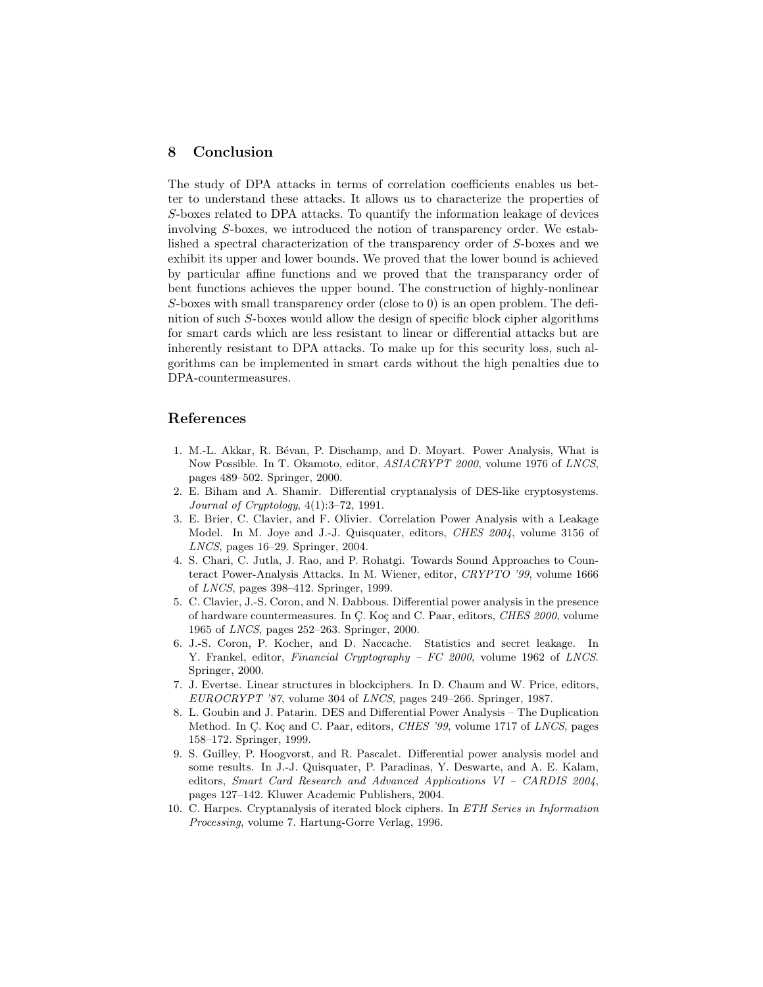# 8 Conclusion

The study of DPA attacks in terms of correlation coefficients enables us better to understand these attacks. It allows us to characterize the properties of S-boxes related to DPA attacks. To quantify the information leakage of devices involving S-boxes, we introduced the notion of transparency order. We established a spectral characterization of the transparency order of S-boxes and we exhibit its upper and lower bounds. We proved that the lower bound is achieved by particular affine functions and we proved that the transparancy order of bent functions achieves the upper bound. The construction of highly-nonlinear S-boxes with small transparency order (close to 0) is an open problem. The definition of such S-boxes would allow the design of specific block cipher algorithms for smart cards which are less resistant to linear or differential attacks but are inherently resistant to DPA attacks. To make up for this security loss, such algorithms can be implemented in smart cards without the high penalties due to DPA-countermeasures.

# References

- 1. M.-L. Akkar, R. B´evan, P. Dischamp, and D. Moyart. Power Analysis, What is Now Possible. In T. Okamoto, editor, ASIACRYPT 2000, volume 1976 of LNCS, pages 489–502. Springer, 2000.
- 2. E. Biham and A. Shamir. Differential cryptanalysis of DES-like cryptosystems. Journal of Cryptology, 4(1):3–72, 1991.
- 3. E. Brier, C. Clavier, and F. Olivier. Correlation Power Analysis with a Leakage Model. In M. Joye and J.-J. Quisquater, editors, CHES 2004, volume 3156 of LNCS, pages 16–29. Springer, 2004.
- 4. S. Chari, C. Jutla, J. Rao, and P. Rohatgi. Towards Sound Approaches to Counteract Power-Analysis Attacks. In M. Wiener, editor, CRYPTO '99, volume 1666 of LNCS, pages 398–412. Springer, 1999.
- 5. C. Clavier, J.-S. Coron, and N. Dabbous. Differential power analysis in the presence of hardware countermeasures. In Ç. Koç and C. Paar, editors, CHES 2000, volume 1965 of LNCS, pages 252–263. Springer, 2000.
- 6. J.-S. Coron, P. Kocher, and D. Naccache. Statistics and secret leakage. In Y. Frankel, editor, Financial Cryptography - FC 2000, volume 1962 of LNCS. Springer, 2000.
- 7. J. Evertse. Linear structures in blockciphers. In D. Chaum and W. Price, editors, EUROCRYPT '87, volume 304 of LNCS, pages 249–266. Springer, 1987.
- 8. L. Goubin and J. Patarin. DES and Differential Power Analysis The Duplication Method. In Ç. Koç and C. Paar, editors, *CHES* '99, volume 1717 of LNCS, pages 158–172. Springer, 1999.
- 9. S. Guilley, P. Hoogvorst, and R. Pascalet. Differential power analysis model and some results. In J.-J. Quisquater, P. Paradinas, Y. Deswarte, and A. E. Kalam, editors, Smart Card Research and Advanced Applications VI – CARDIS 2004, pages 127–142. Kluwer Academic Publishers, 2004.
- 10. C. Harpes. Cryptanalysis of iterated block ciphers. In ETH Series in Information Processing, volume 7. Hartung-Gorre Verlag, 1996.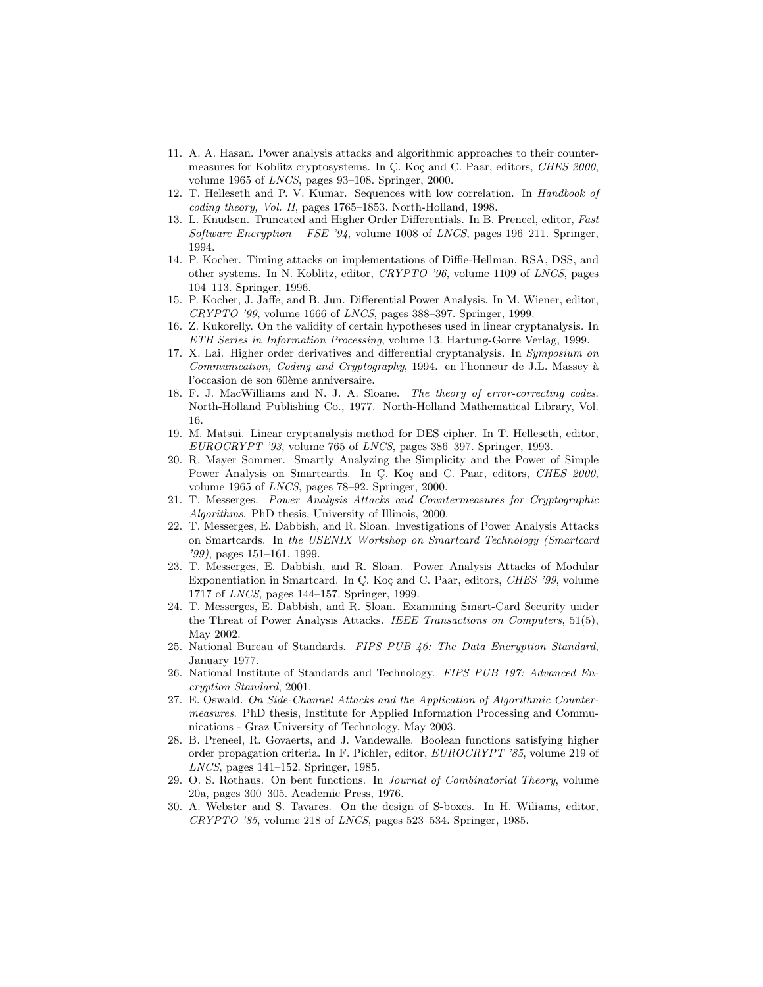- 11. A. A. Hasan. Power analysis attacks and algorithmic approaches to their countermeasures for Koblitz cryptosystems. In C, Koc and C, Paar, editors, CHES 2000, volume 1965 of LNCS, pages 93–108. Springer, 2000.
- 12. T. Helleseth and P. V. Kumar. Sequences with low correlation. In Handbook of coding theory, Vol. II, pages 1765–1853. North-Holland, 1998.
- 13. L. Knudsen. Truncated and Higher Order Differentials. In B. Preneel, editor, Fast Software Encryption – FSE '94, volume 1008 of LNCS, pages 196–211. Springer, 1994.
- 14. P. Kocher. Timing attacks on implementations of Diffie-Hellman, RSA, DSS, and other systems. In N. Koblitz, editor, CRYPTO '96, volume 1109 of LNCS, pages 104–113. Springer, 1996.
- 15. P. Kocher, J. Jaffe, and B. Jun. Differential Power Analysis. In M. Wiener, editor, CRYPTO '99, volume 1666 of LNCS, pages 388–397. Springer, 1999.
- 16. Z. Kukorelly. On the validity of certain hypotheses used in linear cryptanalysis. In ETH Series in Information Processing, volume 13. Hartung-Gorre Verlag, 1999.
- 17. X. Lai. Higher order derivatives and differential cryptanalysis. In Symposium on Communication, Coding and Cryptography, 1994. en l'honneur de J.L. Massey à l'occasion de son 60ème anniversaire.
- 18. F. J. MacWilliams and N. J. A. Sloane. The theory of error-correcting codes. North-Holland Publishing Co., 1977. North-Holland Mathematical Library, Vol. 16.
- 19. M. Matsui. Linear cryptanalysis method for DES cipher. In T. Helleseth, editor, EUROCRYPT '93, volume 765 of LNCS, pages 386–397. Springer, 1993.
- 20. R. Mayer Sommer. Smartly Analyzing the Simplicity and the Power of Simple Power Analysis on Smartcards. In Ç. Koç and C. Paar, editors, CHES 2000, volume 1965 of LNCS, pages 78–92. Springer, 2000.
- 21. T. Messerges. Power Analysis Attacks and Countermeasures for Cryptographic Algorithms. PhD thesis, University of Illinois, 2000.
- 22. T. Messerges, E. Dabbish, and R. Sloan. Investigations of Power Analysis Attacks on Smartcards. In the USENIX Workshop on Smartcard Technology (Smartcard '99), pages 151–161, 1999.
- 23. T. Messerges, E. Dabbish, and R. Sloan. Power Analysis Attacks of Modular Exponentiation in Smartcard. In Ç. Koç and C. Paar, editors, CHES '99, volume 1717 of LNCS, pages 144–157. Springer, 1999.
- 24. T. Messerges, E. Dabbish, and R. Sloan. Examining Smart-Card Security under the Threat of Power Analysis Attacks. IEEE Transactions on Computers, 51(5), May 2002.
- 25. National Bureau of Standards. FIPS PUB 46: The Data Encryption Standard, January 1977.
- 26. National Institute of Standards and Technology. FIPS PUB 197: Advanced Encryption Standard, 2001.
- 27. E. Oswald. On Side-Channel Attacks and the Application of Algorithmic Countermeasures. PhD thesis, Institute for Applied Information Processing and Communications - Graz University of Technology, May 2003.
- 28. B. Preneel, R. Govaerts, and J. Vandewalle. Boolean functions satisfying higher order propagation criteria. In F. Pichler, editor, EUROCRYPT '85, volume 219 of LNCS, pages 141–152. Springer, 1985.
- 29. O. S. Rothaus. On bent functions. In Journal of Combinatorial Theory, volume 20a, pages 300–305. Academic Press, 1976.
- 30. A. Webster and S. Tavares. On the design of S-boxes. In H. Wiliams, editor, CRYPTO '85, volume 218 of LNCS, pages 523–534. Springer, 1985.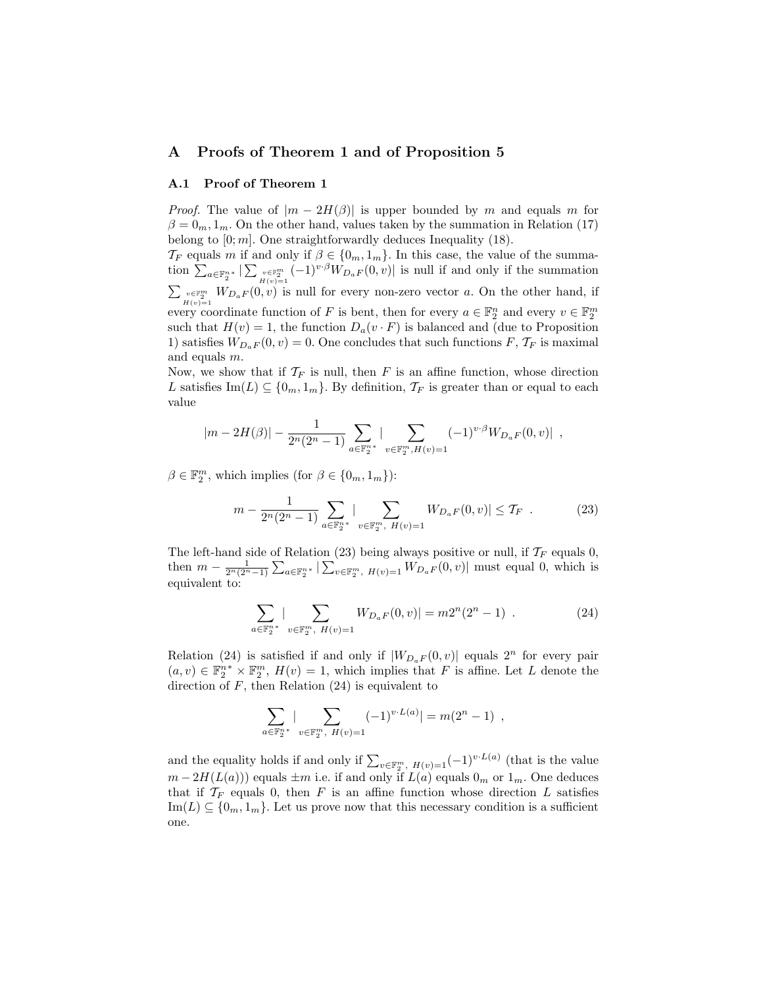# A Proofs of Theorem 1 and of Proposition 5

#### A.1 Proof of Theorem 1

*Proof.* The value of  $|m - 2H(\beta)|$  is upper bounded by m and equals m for  $\beta = 0_m, 1_m$ . On the other hand, values taken by the summation in Relation (17) belong to  $[0; m]$ . One straightforwardly deduces Inequality (18).

 $\mathcal{T}_F$  equals m if and only if  $\beta \in \{0_m, 1_m\}$ . In this case, the value of the summation  $\sum_{a\in\mathbb{F}_2^{n*}}|\sum_{\substack{v\in\mathbb{F}_2^m\ r>0}} (-1)^{v\cdot\beta}W_{D_aF}(0,v)|$  is null if and only if the summation  $\sum_{v \in \mathbb{F}_q^m} W_{D_a F}(0, v)$  is null for every non-zero vector a. On the other hand, if every coordinate function of F is bent, then for every  $a \in \mathbb{F}_2^n$  and every  $v \in \mathbb{F}_2^m$ such that  $H(v) = 1$ , the function  $D_a(v \cdot F)$  is balanced and (due to Proposition 1) satisfies  $W_{D_aF}(0, v) = 0$ . One concludes that such functions F,  $\mathcal{T}_F$  is maximal and equals m.

Now, we show that if  $\mathcal{T}_F$  is null, then F is an affine function, whose direction L satisfies  $\text{Im}(L) \subseteq \{0_m, 1_m\}$ . By definition,  $\mathcal{T}_F$  is greater than or equal to each value

$$
|m - 2H(\beta)| - \frac{1}{2^n (2^n - 1)} \sum_{a \in \mathbb{F}_2^{n*}} |\sum_{v \in \mathbb{F}_2^m, H(v) = 1} (-1)^{v \cdot \beta} W_{D_a F}(0, v)|,
$$

 $\beta \in \mathbb{F}_2^m$ , which implies (for  $\beta \in \{0_m, 1_m\}$ ):

$$
m - \frac{1}{2^n (2^n - 1)} \sum_{a \in \mathbb{F}_2^{n*}} |\sum_{v \in \mathbb{F}_2^m, H(v) = 1} W_{D_a F}(0, v)| \le T_F . \tag{23}
$$

The left-hand side of Relation (23) being always positive or null, if  $\mathcal{T}_F$  equals 0, then  $m - \frac{1}{2^n (2^n-1)} \sum_{a \in \mathbb{F}_2^{n*}} |\sum_{v \in \mathbb{F}_2^m, H(v)=1} W_{D_a F}(0, v)|$  must equal 0, which is equivalent to:

$$
\sum_{a \in \mathbb{F}_2^{n*}} |\sum_{v \in \mathbb{F}_2^m, H(v) = 1} W_{D_a F}(0, v)| = m2^n (2^n - 1) . \tag{24}
$$

Relation (24) is satisfied if and only if  $|W_{D_aF}(0, v)|$  equals  $2^n$  for every pair  $(a, v) \in \mathbb{F}_2^{n*} \times \mathbb{F}_2^m$ ,  $H(v) = 1$ , which implies that F is affine. Let L denote the direction of  $F$ , then Relation  $(24)$  is equivalent to

$$
\sum_{a \in \mathbb{F}_2^{n*}} |\sum_{v \in \mathbb{F}_2^m, H(v) = 1} (-1)^{v \cdot L(a)}| = m(2^n - 1) ,
$$

and the equality holds if and only if  $\sum_{v \in \mathbb{F}_2^m, H(v)=1} (-1)^{v \cdot L(a)}$  (that is the value  $m-2H(L(a))$  equals  $\pm m$  i.e. if and only if  $L(a)$  equals  $0_m$  or  $1_m$ . One deduces that if  $\mathcal{T}_F$  equals 0, then F is an affine function whose direction L satisfies  $\text{Im}(L) \subseteq \{0_m, 1_m\}$ . Let us prove now that this necessary condition is a sufficient one.